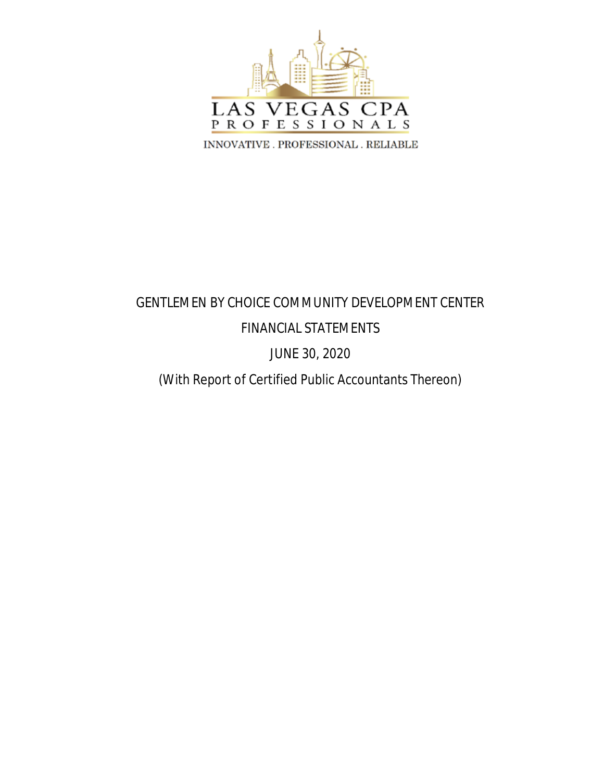

# GENTLEMEN BY CHOICE COMMUNITY DEVELOPMENT CENTER FINANCIAL STATEMENTS

# JUNE 30, 2020

# (With Report of Certified Public Accountants Thereon)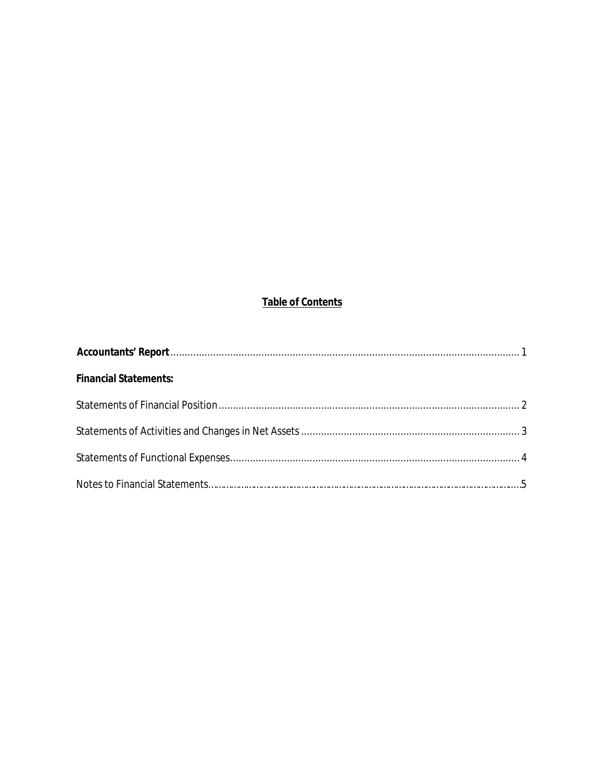# **Table of Contents**

| <b>Financial Statements:</b> |  |
|------------------------------|--|
|                              |  |
|                              |  |
|                              |  |
|                              |  |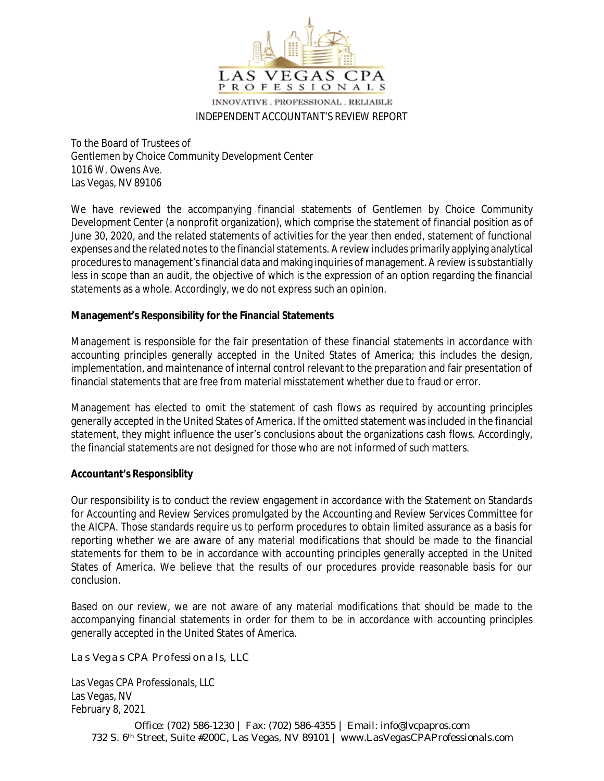

#### INDEPENDENT ACCOUNTANT'S REVIEW REPORT

To the Board of Trustees of Gentlemen by Choice Community Development Center 1016 W. Owens Ave. Las Vegas, NV 89106

We have reviewed the accompanying financial statements of Gentlemen by Choice Community Development Center (a nonprofit organization), which comprise the statement of financial position as of June 30, 2020, and the related statements of activities for the year then ended, statement of functional expenses and the related notes to the financial statements. A review includes primarily applying analytical procedures to management's financial data and making inquiries of management. A review is substantially less in scope than an audit, the objective of which is the expression of an option regarding the financial statements as a whole. Accordingly, we do not express such an opinion.

#### **Management's Responsibility for the Financial Statements**

Management is responsible for the fair presentation of these financial statements in accordance with accounting principles generally accepted in the United States of America; this includes the design, implementation, and maintenance of internal control relevant to the preparation and fair presentation of financial statements that are free from material misstatement whether due to fraud or error.

Management has elected to omit the statement of cash flows as required by accounting principles generally accepted in the United States of America. If the omitted statement was included in the financial statement, they might influence the user's conclusions about the organizations cash flows. Accordingly, the financial statements are not designed for those who are not informed of such matters.

#### **Accountant's Responsiblity**

Our responsibility is to conduct the review engagement in accordance with the Statement on Standards for Accounting and Review Services promulgated by the Accounting and Review Services Committee for the AICPA. Those standards require us to perform procedures to obtain limited assurance as a basis for reporting whether we are aware of any material modifications that should be made to the financial statements for them to be in accordance with accounting principles generally accepted in the United States of America. We believe that the results of our procedures provide reasonable basis for our conclusion.

Based on our review, we are not aware of any material modifications that should be made to the accompanying financial statements in order for them to be in accordance with accounting principles generally accepted in the United States of America.

### *Las Vegas CPA Professionals, LLC*

Las Vegas CPA Professionals, LLC Las Vegas, NV February 8, 2021

> Office: (702) 586-1230 | Fax: (702) 586-4355 | Email: info@lvcpapros.com 732 S. 6th Street, Suite #200C, Las Vegas, NV 89101 | www.LasVegasCPAProfessionals.com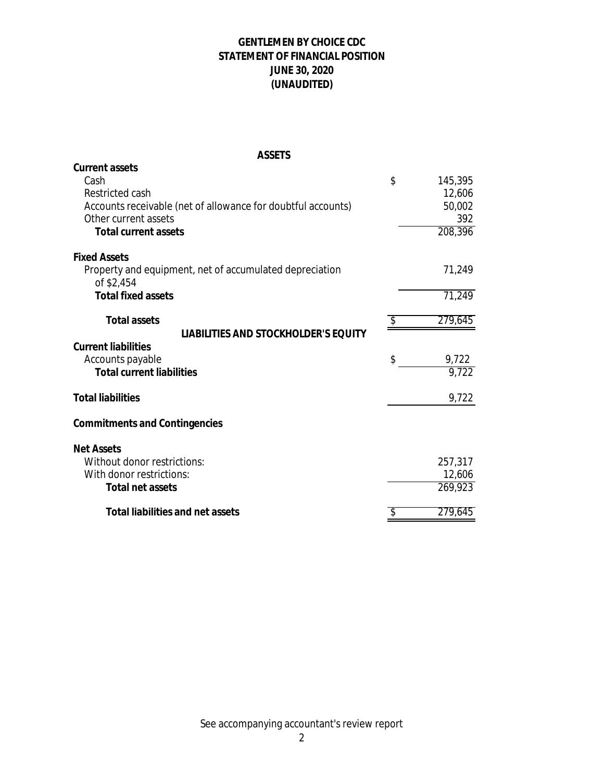## **GENTLEMEN BY CHOICE CDC STATEMENT OF FINANCIAL POSITION JUNE 30, 2020 (UNAUDITED)**

#### **ASSETS**

| <b>Current assets</b>                                        |               |
|--------------------------------------------------------------|---------------|
| Cash                                                         | \$<br>145,395 |
| Restricted cash                                              | 12,606        |
| Accounts receivable (net of allowance for doubtful accounts) | 50,002        |
| Other current assets                                         | 392           |
| <b>Total current assets</b>                                  | 208,396       |
| <b>Fixed Assets</b>                                          |               |
| Property and equipment, net of accumulated depreciation      | 71,249        |
| of \$2,454                                                   |               |
| <b>Total fixed assets</b>                                    | 71,249        |
| <b>Total assets</b>                                          | \$<br>279,645 |
| LIABILITIES AND STOCKHOLDER'S EQUITY                         |               |
| <b>Current liabilities</b>                                   |               |
| Accounts payable                                             | \$<br>9,722   |
| <b>Total current liabilities</b>                             | 9,722         |
| <b>Total liabilities</b>                                     | 9,722         |
| <b>Commitments and Contingencies</b>                         |               |
|                                                              |               |
| <b>Net Assets</b>                                            |               |
| Without donor restrictions:                                  | 257,317       |
| With donor restrictions:                                     | 12,606        |
| <b>Total net assets</b>                                      | 269,923       |
| <b>Total liabilities and net assets</b>                      | 279,645       |
|                                                              |               |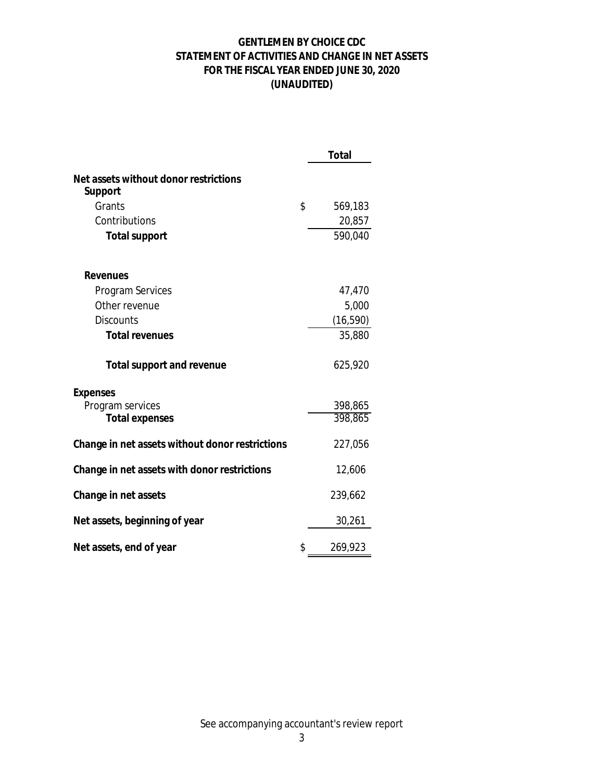## **GENTLEMEN BY CHOICE CDC STATEMENT OF ACTIVITIES AND CHANGE IN NET ASSETS FOR THE FISCAL YEAR ENDED JUNE 30, 2020 (UNAUDITED)**

|                                                  | <b>Total</b>  |
|--------------------------------------------------|---------------|
| Net assets without donor restrictions<br>Support |               |
| Grants                                           | \$<br>569,183 |
| Contributions                                    | 20,857        |
| <b>Total support</b>                             | 590,040       |
| <b>Revenues</b>                                  |               |
| Program Services                                 | 47,470        |
| Other revenue                                    | 5,000         |
| <b>Discounts</b>                                 | (16, 590)     |
| <b>Total revenues</b>                            | 35,880        |
| <b>Total support and revenue</b>                 | 625,920       |
| <b>Expenses</b>                                  |               |
| Program services                                 | 398,865       |
| <b>Total expenses</b>                            | 398,865       |
| Change in net assets without donor restrictions  | 227,056       |
| Change in net assets with donor restrictions     | 12,606        |
| Change in net assets                             | 239,662       |
| Net assets, beginning of year                    | 30,261        |
| Net assets, end of year                          | \$<br>269,923 |

See accompanying accountant's review report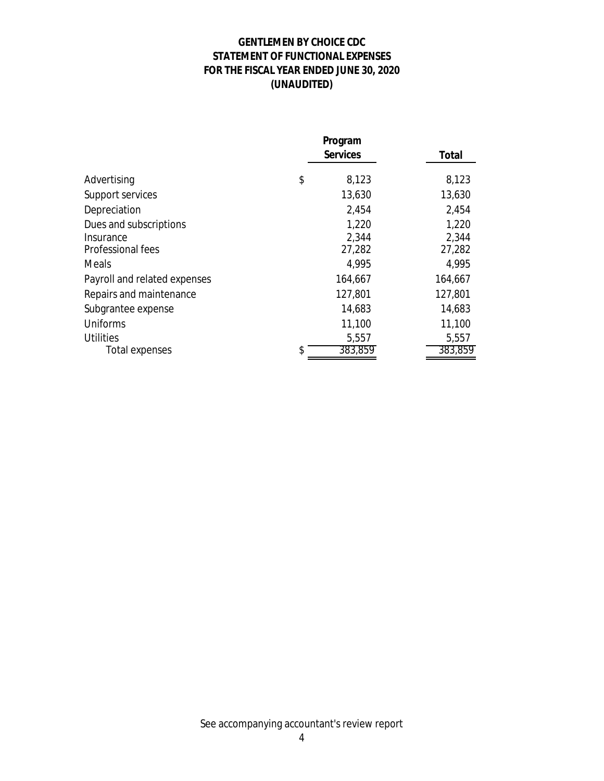## **GENTLEMEN BY CHOICE CDC STATEMENT OF FUNCTIONAL EXPENSES FOR THE FISCAL YEAR ENDED JUNE 30, 2020 (UNAUDITED)**

|                                                          |    | <b>Services</b>          | Total                    |
|----------------------------------------------------------|----|--------------------------|--------------------------|
| Advertising                                              | \$ | 8,123                    | 8,123                    |
| Support services                                         |    | 13,630                   | 13,630                   |
| Depreciation                                             |    | 2,454                    | 2,454                    |
| Dues and subscriptions<br>Insurance<br>Professional fees |    | 1,220<br>2,344<br>27,282 | 1,220<br>2,344<br>27,282 |
| Meals                                                    |    | 4,995                    | 4,995                    |
| Payroll and related expenses                             |    | 164,667                  | 164,667                  |
| Repairs and maintenance                                  |    | 127,801                  | 127,801                  |
| Subgrantee expense                                       |    | 14,683                   | 14,683                   |
| Uniforms                                                 |    | 11,100                   | 11,100                   |
| <b>Utilities</b>                                         |    | 5,557                    | 5,557                    |
| Total expenses                                           |    | 383,859                  | 383,859                  |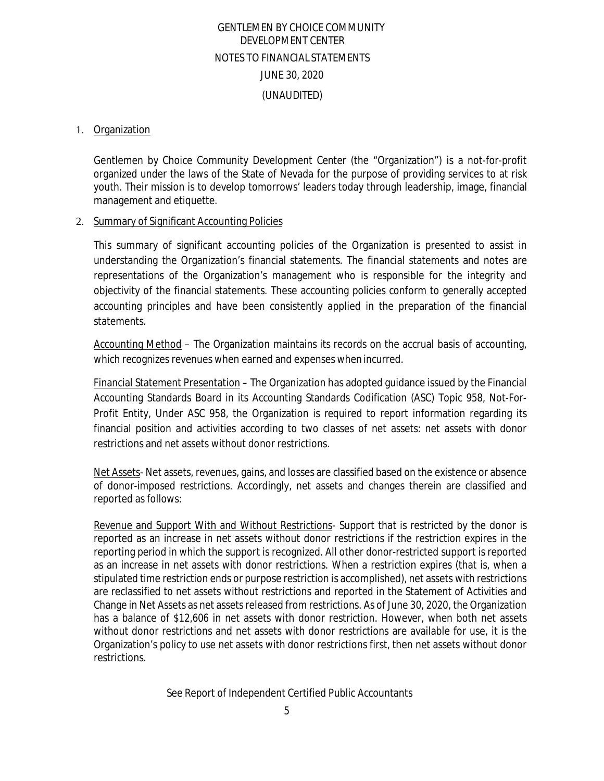# GENTLEMEN BY CHOICE COMMUNITY DEVELOPMENT CENTER NOTES TO FINANCIAL STATEMENTS JUNE 30, 2020 (UNAUDITED)

#### 1. Organization

Gentlemen by Choice Community Development Center (the "Organization") is a not-for-profit organized under the laws of the State of Nevada for the purpose of providing services to at risk youth. Their mission is to develop tomorrows' leaders today through leadership, image, financial management and etiquette.

#### 2. Summary of Significant Accounting Policies

This summary of significant accounting policies of the Organization is presented to assist in understanding the Organization's financial statements. The financial statements and notes are representations of the Organization's management who is responsible for the integrity and objectivity of the financial statements. These accounting policies conform to generally accepted accounting principles and have been consistently applied in the preparation of the financial statements.

Accounting Method – The Organization maintains its records on the accrual basis of accounting, which recognizes revenues when earned and expenses when incurred.

Financial Statement Presentation – The Organization has adopted guidance issued by the Financial Accounting Standards Board in its Accounting Standards Codification (ASC) Topic 958, Not-For-Profit Entity, Under ASC 958, the Organization is required to report information regarding its financial position and activities according to two classes of net assets: net assets with donor restrictions and net assets without donor restrictions.

Net Assets- Net assets, revenues, gains, and losses are classified based on the existence or absence of donor-imposed restrictions. Accordingly, net assets and changes therein are classified and reported as follows:

Revenue and Support With and Without Restrictions- Support that is restricted by the donor is reported as an increase in net assets without donor restrictions if the restriction expires in the reporting period in which the support is recognized. All other donor-restricted support is reported as an increase in net assets with donor restrictions. When a restriction expires (that is, when a stipulated time restriction ends or purpose restriction is accomplished), net assets with restrictions are reclassified to net assets without restrictions and reported in the Statement of Activities and Change in Net Assets as net assets released from restrictions. As of June 30, 2020, the Organization has a balance of \$12,606 in net assets with donor restriction. However, when both net assets without donor restrictions and net assets with donor restrictions are available for use, it is the Organization's policy to use net assets with donor restrictions first, then net assets without donor restrictions.

See Report of Independent Certified Public Accountants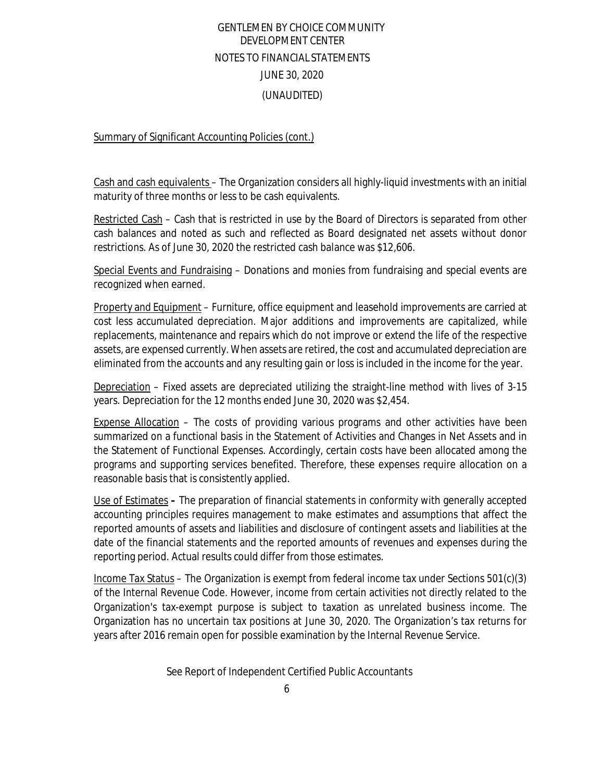# GENTLEMEN BY CHOICE COMMUNITY DEVELOPMENT CENTER NOTES TO FINANCIAL STATEMENTS JUNE 30, 2020 (UNAUDITED)

Summary of Significant Accounting Policies (cont.)

Cash and cash equivalents – The Organization considers all highly-liquid investments with an initial maturity of three months or less to be cash equivalents.

Restricted Cash – Cash that is restricted in use by the Board of Directors is separated from other cash balances and noted as such and reflected as Board designated net assets without donor restrictions. As of June 30, 2020 the restricted cash balance was \$12,606.

Special Events and Fundraising – Donations and monies from fundraising and special events are recognized when earned.

Property and Equipment – Furniture, office equipment and leasehold improvements are carried at cost less accumulated depreciation. Major additions and improvements are capitalized, while replacements, maintenance and repairs which do not improve or extend the life of the respective assets, are expensed currently. When assets are retired, the cost and accumulated depreciation are eliminated from the accounts and any resulting gain or loss is included in the income for the year.

Depreciation – Fixed assets are depreciated utilizing the straight-line method with lives of 3-15 years. Depreciation for the 12 months ended June 30, 2020 was \$2,454.

Expense Allocation – The costs of providing various programs and other activities have been summarized on a functional basis in the Statement of Activities and Changes in Net Assets and in the Statement of Functional Expenses. Accordingly, certain costs have been allocated among the programs and supporting services benefited. Therefore, these expenses require allocation on a reasonable basis that is consistently applied.

Use of Estimates **–** The preparation of financial statements in conformity with generally accepted accounting principles requires management to make estimates and assumptions that affect the reported amounts of assets and liabilities and disclosure of contingent assets and liabilities at the date of the financial statements and the reported amounts of revenues and expenses during the reporting period. Actual results could differ from those estimates.

Income Tax Status – The Organization is exempt from federal income tax under Sections 501(c)(3) of the Internal Revenue Code. However, income from certain activities not directly related to the Organization's tax-exempt purpose is subject to taxation as unrelated business income. The Organization has no uncertain tax positions at June 30, 2020. The Organization's tax returns for years after 2016 remain open for possible examination by the Internal Revenue Service.

See Report of Independent Certified Public Accountants